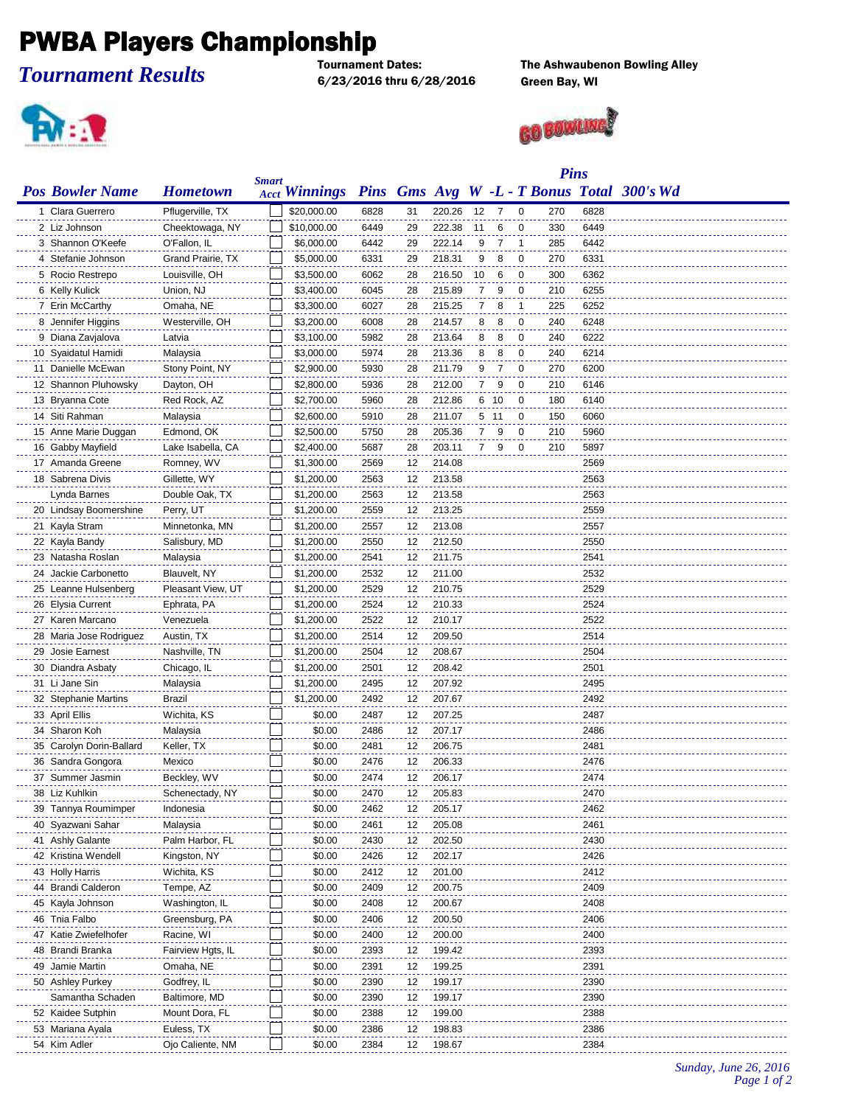## **PWBA Players Championship**

*Tournament Results*

6/23/2016 thru 6/28/2016 Green Bay, WI

 $\mathbf{R}$  :  $\mathbf{R}$ 

The Ashwaubenon Bowling Alley



|                          |                   |       | <b>Pins</b>          |      |    |        |                |      |                |     |      |                                            |
|--------------------------|-------------------|-------|----------------------|------|----|--------|----------------|------|----------------|-----|------|--------------------------------------------|
| <b>Pos Bowler Name</b>   | <b>Hometown</b>   | Smart | <b>Acct Winnings</b> |      |    |        |                |      |                |     |      | Pins Gms Avg W -L - T Bonus Total 300's Wd |
| 1 Clara Guerrero         | Pflugerville, TX  |       | \$20,000.00          | 6828 | 31 | 220.26 | 12             | 7    | $\Omega$       | 270 | 6828 |                                            |
| 2 Liz Johnson            | Cheektowaga, NY   |       | \$10,000.00          | 6449 | 29 | 222.38 | 11             | 6    | $\mathbf 0$    | 330 | 6449 |                                            |
| 3 Shannon O'Keefe        | O'Fallon, IL      |       | \$6,000.00           | 6442 | 29 | 222.14 | 9              | 7    | $\overline{1}$ | 285 | 6442 |                                            |
| 4 Stefanie Johnson       | Grand Prairie, TX |       | \$5,000.00           | 6331 | 29 | 218.31 | 9              | 8    | 0              | 270 | 6331 |                                            |
| 5 Rocio Restrepo         | Louisville, OH    |       | \$3,500.00           | 6062 | 28 | 216.50 | 10             | 6    | 0              | 300 | 6362 |                                            |
| 6 Kelly Kulick           | Union, NJ         |       | \$3,400.00           | 6045 | 28 | 215.89 | 7              | 9    | 0              | 210 | 6255 |                                            |
| 7 Erin McCarthy          | Omaha, NE         |       | \$3,300.00           | 6027 | 28 | 215.25 | 7              | 8    | $\overline{1}$ | 225 | 6252 |                                            |
| 8 Jennifer Higgins       | Westerville, OH   |       | \$3,200.00           | 6008 | 28 | 214.57 | 8              | 8    | 0              | 240 | 6248 |                                            |
| 9 Diana Zavjalova        | Latvia            |       | \$3,100.00           | 5982 | 28 | 213.64 | 8              | 8    | $\mathbf 0$    | 240 | 6222 |                                            |
| 10 Syaidatul Hamidi      | Malaysia          |       | \$3,000.00           | 5974 | 28 | 213.36 | 8              | 8    | $\mathbf 0$    | 240 | 6214 |                                            |
| 11 Danielle McEwan       | Stony Point, NY   |       | \$2,900.00           | 5930 | 28 | 211.79 | 9              | 7    | $\mathbf 0$    | 270 | 6200 |                                            |
| 12 Shannon Pluhowsky     | Dayton, OH        |       | \$2,800.00           | 5936 | 28 | 212.00 | $\overline{7}$ | 9    | $\mathbf 0$    | 210 | 6146 |                                            |
| 13 Bryanna Cote          | Red Rock, AZ      |       | \$2,700.00           | 5960 | 28 | 212.86 |                | 6 10 | $\mathbf 0$    | 180 | 6140 |                                            |
| 14 Siti Rahman           | Malaysia          |       | \$2,600.00           | 5910 | 28 | 211.07 |                | 5 11 | 0              | 150 | 6060 |                                            |
| 15 Anne Marie Duggan     | Edmond, OK        |       | \$2,500.00           | 5750 | 28 | 205.36 | 7              | 9    | 0              | 210 | 5960 |                                            |
| 16 Gabby Mayfield        | Lake Isabella, CA |       | \$2,400.00           | 5687 | 28 | 203.11 | $\overline{7}$ | 9    | 0              | 210 | 5897 |                                            |
| 17 Amanda Greene         | Romney, WV        |       | \$1,300.00           | 2569 | 12 | 214.08 |                |      |                |     | 2569 |                                            |
| 18 Sabrena Divis         | Gillette, WY      |       | \$1,200.00           | 2563 | 12 | 213.58 |                |      |                |     | 2563 |                                            |
| Lynda Barnes             | Double Oak, TX    |       | \$1,200.00           | 2563 | 12 | 213.58 |                |      |                |     | 2563 |                                            |
| 20 Lindsay Boomershine   | Perry, UT         |       | \$1,200.00           | 2559 | 12 | 213.25 |                |      |                |     | 2559 |                                            |
| 21 Kayla Stram           | Minnetonka, MN    |       | \$1,200.00           | 2557 | 12 | 213.08 |                |      |                |     | 2557 |                                            |
| 22 Kayla Bandy           | Salisbury, MD     |       | \$1,200.00           | 2550 | 12 | 212.50 |                |      |                |     | 2550 |                                            |
| 23 Natasha Roslan        | Malaysia          |       | \$1,200.00           | 2541 | 12 | 211.75 |                |      |                |     | 2541 |                                            |
| 24 Jackie Carbonetto     | Blauvelt, NY      |       | \$1,200.00           | 2532 | 12 | 211.00 |                |      |                |     | 2532 |                                            |
| 25 Leanne Hulsenberg     | Pleasant View, UT |       | \$1,200.00           | 2529 | 12 | 210.75 |                |      |                |     | 2529 |                                            |
| 26 Elysia Current        | Ephrata, PA       |       | \$1,200.00           | 2524 | 12 | 210.33 |                |      |                |     | 2524 |                                            |
| 27 Karen Marcano         | Venezuela         |       | \$1,200.00           | 2522 | 12 | 210.17 |                |      |                |     | 2522 |                                            |
| 28 Maria Jose Rodriguez  | Austin, TX        |       | \$1,200.00           | 2514 | 12 | 209.50 |                |      |                |     | 2514 |                                            |
| 29 Josie Earnest         | Nashville, TN     |       | \$1,200.00           | 2504 | 12 | 208.67 |                |      |                |     | 2504 |                                            |
| 30 Diandra Asbaty        | Chicago, IL       |       | \$1,200.00           | 2501 | 12 | 208.42 |                |      |                |     | 2501 |                                            |
| 31 Li Jane Sin           | Malaysia          |       | \$1,200.00           | 2495 | 12 | 207.92 |                |      |                |     | 2495 |                                            |
| 32 Stephanie Martins     | Brazil            |       | \$1,200.00           | 2492 | 12 | 207.67 |                |      |                |     | 2492 |                                            |
| 33 April Ellis           | Wichita, KS       |       | \$0.00               | 2487 | 12 | 207.25 |                |      |                |     | 2487 |                                            |
| 34 Sharon Koh            | Malaysia          |       | \$0.00               | 2486 | 12 | 207.17 |                |      |                |     | 2486 |                                            |
| 35 Carolyn Dorin-Ballard | Keller, TX        |       | \$0.00               | 2481 | 12 | 206.75 |                |      |                |     | 2481 |                                            |
| 36 Sandra Gongora        | Mexico            |       | \$0.00               | 2476 | 12 | 206.33 |                |      |                |     | 2476 |                                            |
| 37 Summer Jasmin         | Beckley, WV       |       | \$0.00               | 2474 | 12 | 206.17 |                |      |                |     | 2474 |                                            |
| 38 Liz Kuhlkin           | Schenectady, NY   |       | \$0.00               | 2470 | 12 | 205.83 |                |      |                |     | 2470 |                                            |
| 39 Tannya Roumimper      | Indonesia         |       | \$0.00               | 2462 | 12 | 205.17 |                |      |                |     | 2462 |                                            |
| 40 Syazwani Sahar        | Malaysia          |       | \$0.00               | 2461 | 12 | 205.08 |                |      |                |     | 2461 |                                            |
| 41 Ashly Galante         | Palm Harbor, FL   |       | \$0.00               | 2430 | 12 | 202.50 |                |      |                |     | 2430 |                                            |
| 42 Kristina Wendell      | Kingston, NY      |       | \$0.00               | 2426 | 12 | 202.17 |                |      |                |     | 2426 |                                            |
| 43 Holly Harris          | Wichita, KS       |       | \$0.00               | 2412 | 12 | 201.00 |                |      |                |     | 2412 |                                            |
| 44 Brandi Calderon       | Tempe, AZ         |       | \$0.00               | 2409 | 12 | 200.75 |                |      |                |     | 2409 |                                            |
| 45 Kayla Johnson         | Washington, IL    |       | \$0.00               | 2408 | 12 | 200.67 |                |      |                |     | 2408 |                                            |
| 46 Tnia Falbo            | Greensburg, PA    |       | \$0.00               | 2406 | 12 | 200.50 |                |      |                |     | 2406 |                                            |
| 47 Katie Zwiefelhofer    | Racine, WI        |       | \$0.00               | 2400 | 12 | 200.00 |                |      |                |     | 2400 |                                            |
| 48 Brandi Branka         | Fairview Hgts, IL |       | \$0.00               | 2393 | 12 | 199.42 |                |      |                |     | 2393 |                                            |
| 49 Jamie Martin          | Omaha, NE         |       | \$0.00               | 2391 | 12 | 199.25 |                |      |                |     | 2391 |                                            |
| 50 Ashley Purkey         | Godfrey, IL       |       | \$0.00               | 2390 | 12 | 199.17 |                |      |                |     | 2390 |                                            |
| Samantha Schaden         | Baltimore, MD     |       | \$0.00               | 2390 | 12 | 199.17 |                |      |                |     | 2390 |                                            |
| 52 Kaidee Sutphin        | Mount Dora, FL    |       | \$0.00               | 2388 | 12 | 199.00 |                |      |                |     | 2388 |                                            |
| 53 Mariana Ayala         | Euless, TX        |       | \$0.00               | 2386 | 12 | 198.83 |                |      |                |     | 2386 |                                            |
| 54 Kim Adler             | Ojo Caliente, NM  |       | \$0.00               | 2384 | 12 | 198.67 |                |      |                |     | 2384 |                                            |